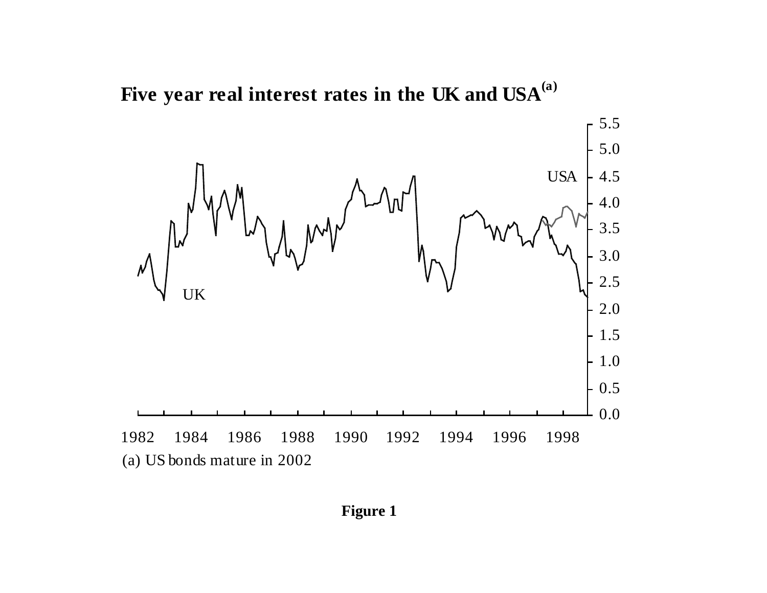Five year real interest rates in the UK and USA<sup>(a)</sup>



**Figure 1**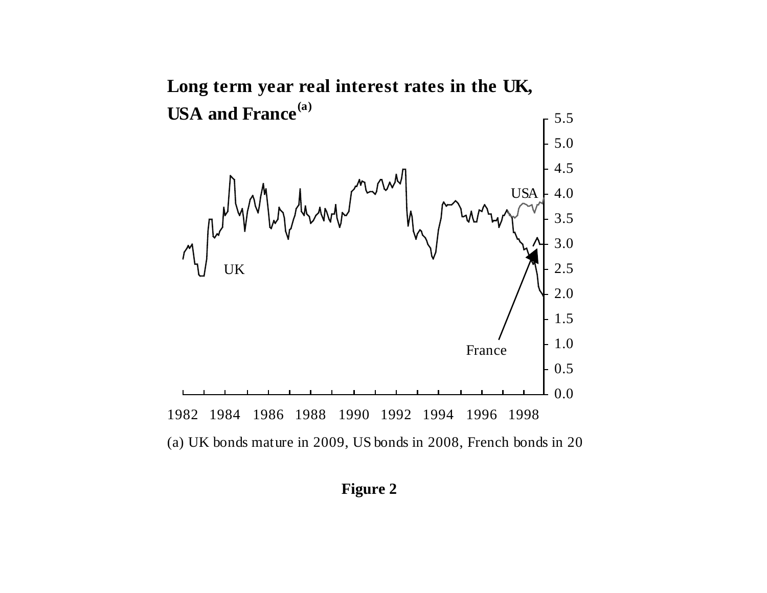

(a) UK bonds mature in 2009, US bonds in 2008, French bonds in 20

**Figure 2**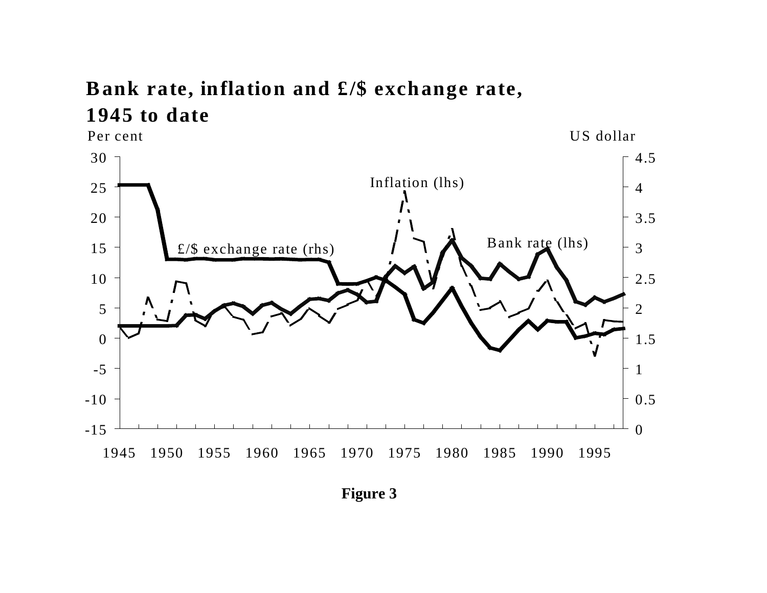## **Bank rate, inflation and £/\$ exchange rate, 1945 to date**



**Figure 3**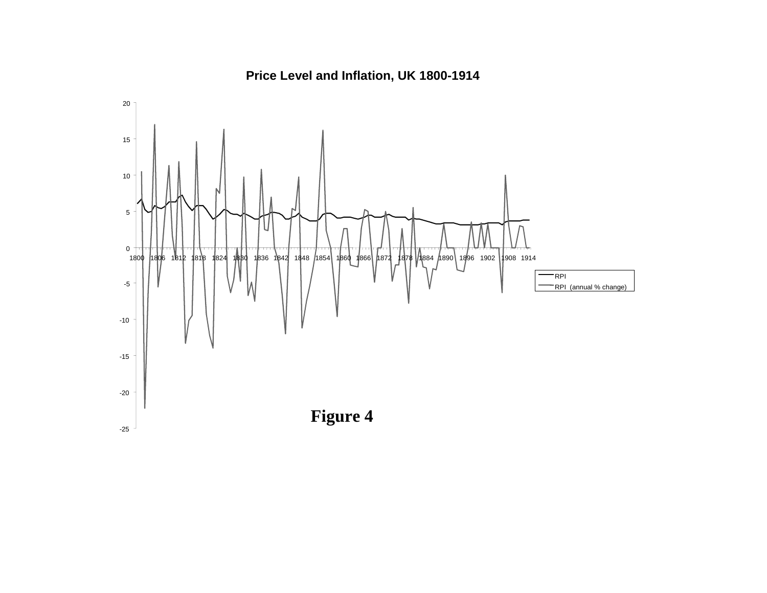

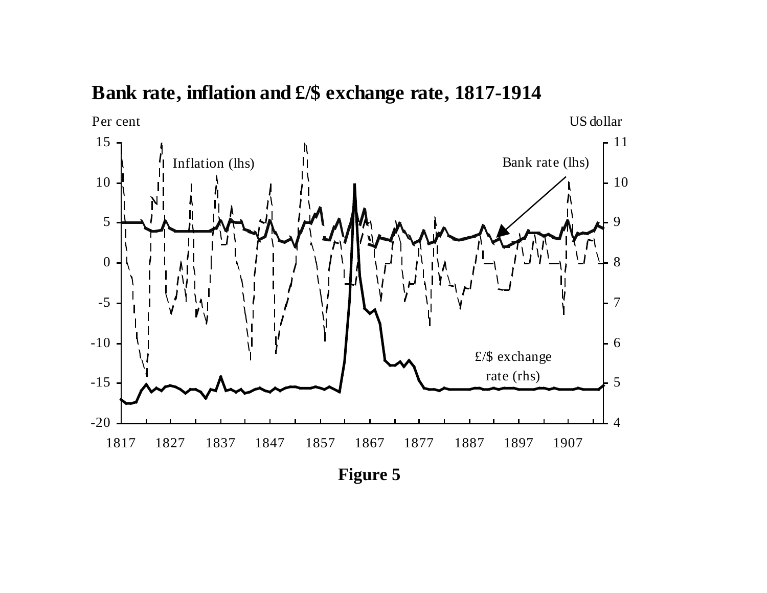## **Bank rate, inflation and £/\$ exchange rate, 1817-1914**



**Figure 5**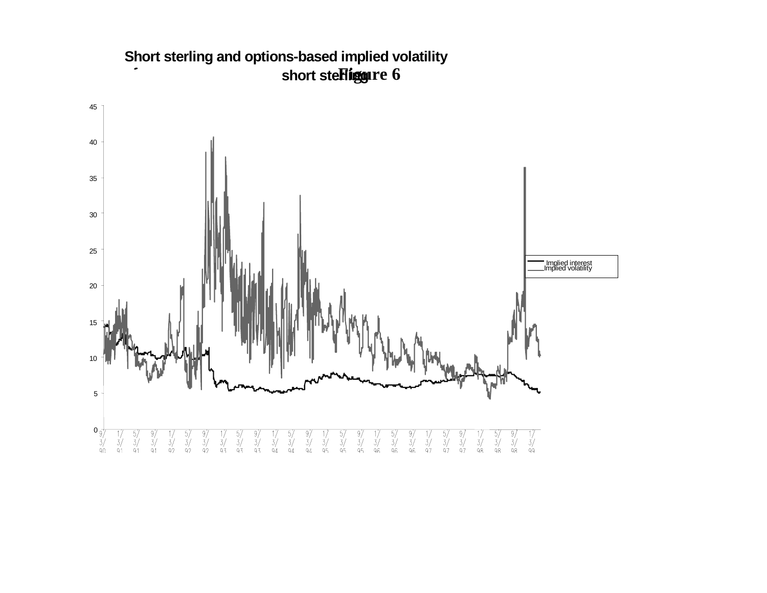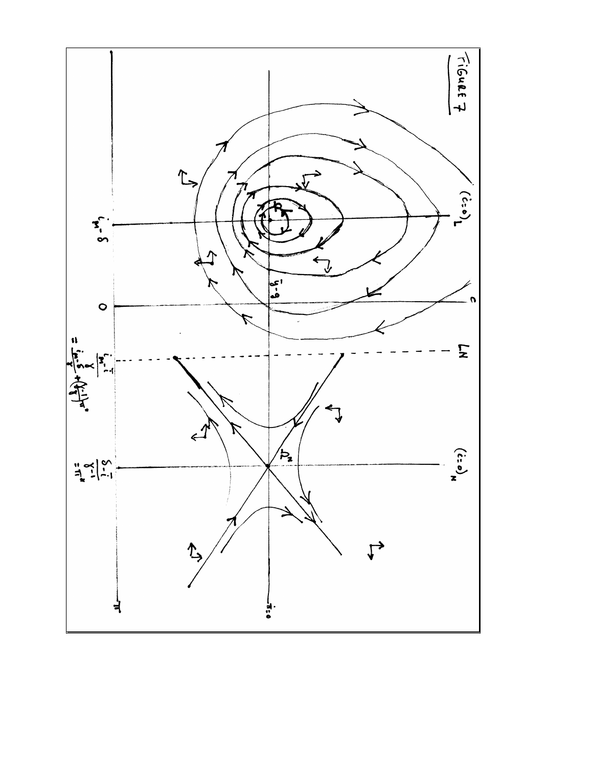